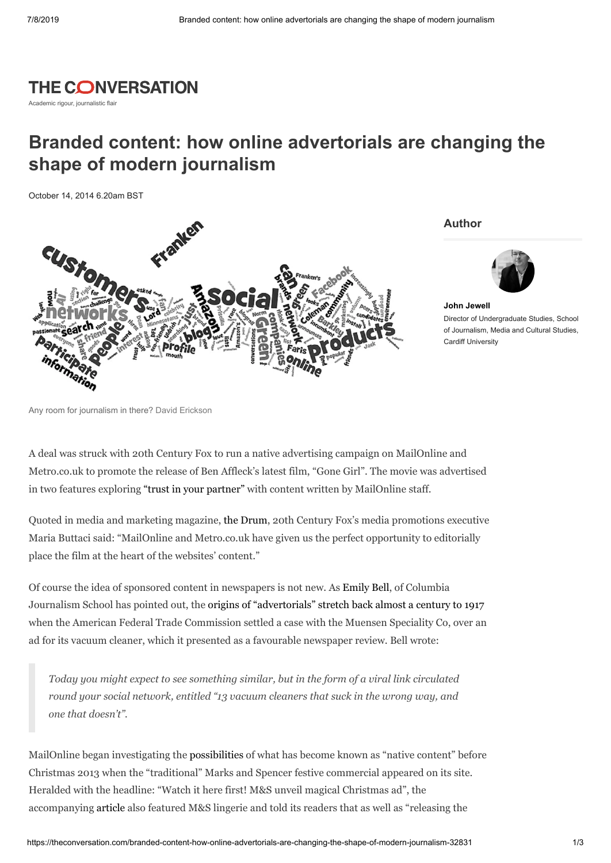## **THE CONVERSATION**

Academic rigour, journalistic flair

## **Branded content: how online advertorials are changing the shape of modern journalism**

October 14, 2014 6.20am BST



**Author**



**John [Jewell](https://theconversation.com/profiles/john-jewell-100660)** Director of Undergraduate Studies, School of Journalism, Media and Cultural Studies, Cardiff University

A deal was struck with 20th Century Fox to run a native advertising campaign on MailOnline and Metro.co.uk to promote the release of Ben Affleck's latest film, "Gone Girl". The movie was advertised in two features exploring "trust in your [partner"](http://metro.co.uk/2014/10/01/now-that-gone-girl-has-made-us-question-everything-we-thought-we-knew-about-trust-heres-how-to-spot-if-your-partner-is-lying-to-you-4878764/) with content written by MailOnline staff.

Quoted in media and marketing magazine, the [Drum](http://www.thedrum.com/news/2014/10/01/mailonline-strikes-native-ad-deal-20th-century-fox-promote-movie-gone-girl), 20th Century Fox's media promotions executive Maria Buttaci said: "MailOnline and Metro.co.uk have given us the perfect opportunity to editorially place the film at the heart of the websites' content."

Of course the idea of sponsored content in newspapers is not new. As [Emily](https://twitter.com/emilybell) Bell, of Columbia Journalism School has pointed out, the origins of ["advertorials"](http://www.theguardian.com/media/media-blog/2014/jan/05/native-advertising-paywall-transparency) stretch back almost a century to 1917 when the American Federal Trade Commission settled a case with the Muensen Speciality Co, over an ad for its vacuum cleaner, which it presented as a favourable newspaper review. Bell wrote:

*Today you might expect to see something similar, but in the form of a viral link circulated round your social network, entitled "13 vacuum cleaners that suck in the wrong way, and one that doesn't".*

MailOnline began investigating the [possibilities](http://www.campaignlive.co.uk/opinion/1229925/) of what has become known as "native content" before Christmas 2013 when the "traditional" Marks and Spencer festive commercial appeared on its site. Heralded with the headline: "Watch it here first! M&S unveil magical Christmas ad", the accompanying [article](http://www.dailymail.co.uk/femail/article-2487284/Watch-M-S-unveil-magical-Christmas-ad-starring-Rosie-Huntington-Whiteley-David-Gandy-online-TV-broadcast.html) also featured M&S lingerie and told its readers that as well as "releasing the

Any room for journalism in there? David Erickson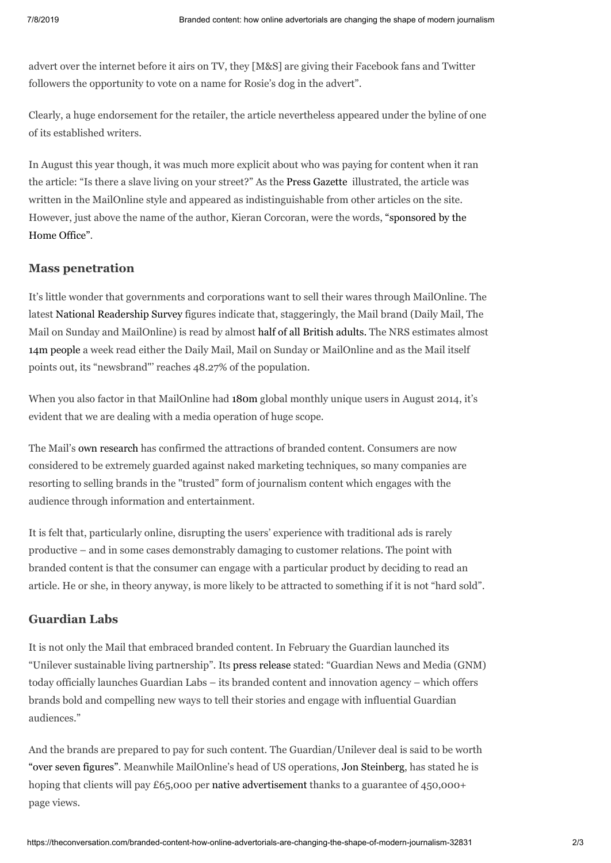advert over the internet before it airs on TV, they [M&S] are giving their Facebook fans and Twitter followers the opportunity to vote on a name for Rosie's dog in the advert".

Clearly, a huge endorsement for the retailer, the article nevertheless appeared under the byline of one of its established writers.

In August this year though, it was much more explicit about who was paying for content when it ran the article: "Is there a slave living on your street?" As the Press [Gazette](http://www.pressgazette.co.uk/content/mail-online-goes-native-home-office-sponsored-editorial-deal) illustrated, the article was written in the MailOnline style and appeared as indistinguishable from other articles on the site. However, just above the name of the author, Kieran Corcoran, were the words, ["sponsored](http://omnifeed.com/article/www.dailymail.co.uk/news/article-2728962/Beatings-brainwashing-hard-labour-How-thousands-people-modern-Britain-STILL-exploited-slaves-happening-street.html) by the Home Office".

## **Mass penetration**

It's little wonder that governments and corporations want to sell their wares through MailOnline. The latest National [Readership](http://www.nrs.co.uk/latest-results/nrs-padd-results/newspapers-nrspaddresults/) Survey figures indicate that, staggeringly, the Mail brand (Daily Mail, The Mail on Sunday and MailOnline) is read by almost half of all [British](http://mailconnected.co.uk/stats/news?item=4968.) adults. The NRS estimates almost 14m [people](http://www.mediaweek.co.uk/article/1296077/nrs-padd-daily-mail-titles-command-highest-print-digital-readership-uk) a week read either the Daily Mail, Mail on Sunday or MailOnline and as the Mail itself points out, its "newsbrand"' reaches 48.27% of the population.

When you also factor in that MailOnline had [180m](http://www.theguardian.com/media/2014/sep/17/mail-online-ad-revenue-daily-mail-mail-on-sunday?CMP=twt_gu) global monthly unique users in August 2014, it's evident that we are dealing with a media operation of huge scope.

The Mail's own [research](http://i.dailymail.co.uk/pdf/2013/05/whitepaper.pdf) has confirmed the attractions of branded content. Consumers are now considered to be extremely guarded against naked marketing techniques, so many companies are resorting to selling brands in the "trusted" form of journalism content which engages with the audience through information and entertainment.

It is felt that, particularly online, disrupting the users' experience with traditional ads is rarely productive – and in some cases demonstrably damaging to customer relations. The point with branded content is that the consumer can engage with a particular product by deciding to read an article. He or she, in theory anyway, is more likely to be attracted to something if it is not "hard sold".

## **Guardian Labs**

It is not only the Mail that embraced branded content. In February the Guardian launched its "Unilever sustainable living partnership". Its press [release](http://www.theguardian.com/gnm-press-office/guardian-launches-guardian-labs-with-unilever-partnership) stated: "Guardian News and Media (GNM) today officially launches Guardian Labs – its branded content and innovation agency – which offers brands bold and compelling new ways to tell their stories and engage with influential Guardian audiences."

And the brands are prepared to pay for such content. The Guardian/Unilever deal is said to be worth "over seven [figures".](http://www.whatsnewinpublishing.co.uk/content/guardian-signs-%C2%A3multi-million-branded-content-deal-unilever) Meanwhile MailOnline's head of US operations, Jon [Steinberg,](http://www.thedrum.com/news/2014/09/25/mailonline-aiming-charge-65000-native-ad) has stated he is hoping that clients will pay £65,000 per native [advertisement](http://www.iab.net/nativeadvertising) thanks to a guarantee of 450,000+ page views.